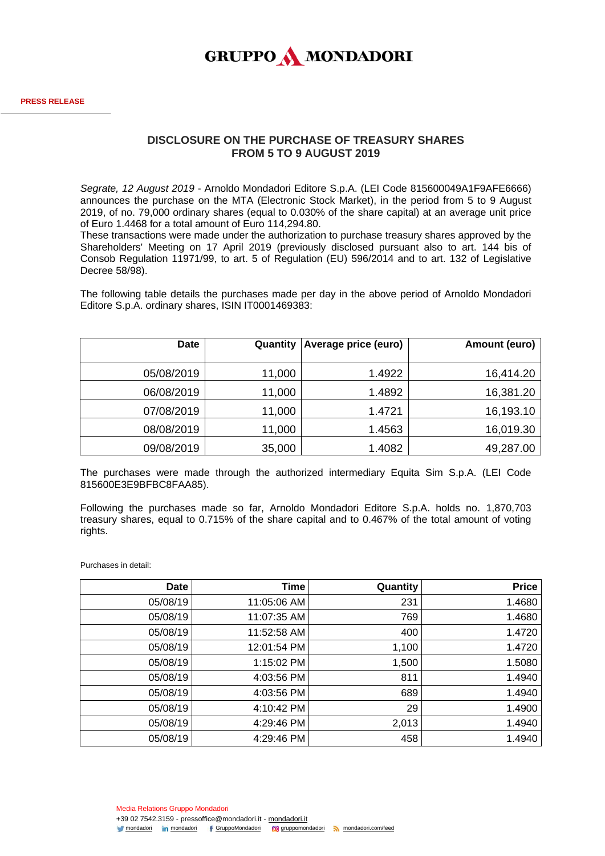

## **DISCLOSURE ON THE PURCHASE OF TREASURY SHARES FROM 5 TO 9 AUGUST 2019**

*Segrate, 12 August 2019* - Arnoldo Mondadori Editore S.p.A. (LEI Code 815600049A1F9AFE6666) announces the purchase on the MTA (Electronic Stock Market), in the period from 5 to 9 August 2019, of no. 79,000 ordinary shares (equal to 0.030% of the share capital) at an average unit price of Euro 1.4468 for a total amount of Euro 114,294.80.

These transactions were made under the authorization to purchase treasury shares approved by the Shareholders' Meeting on 17 April 2019 (previously disclosed pursuant also to art. 144 bis of Consob Regulation 11971/99, to art. 5 of Regulation (EU) 596/2014 and to art. 132 of Legislative Decree 58/98).

The following table details the purchases made per day in the above period of Arnoldo Mondadori Editore S.p.A. ordinary shares, ISIN IT0001469383:

| <b>Date</b> | Quantity | <b>Average price (euro)</b> | Amount (euro) |
|-------------|----------|-----------------------------|---------------|
| 05/08/2019  | 11,000   | 1.4922                      | 16,414.20     |
| 06/08/2019  | 11,000   | 1.4892                      | 16,381.20     |
| 07/08/2019  | 11,000   | 1.4721                      | 16,193.10     |
| 08/08/2019  | 11,000   | 1.4563                      | 16,019.30     |
| 09/08/2019  | 35,000   | 1.4082                      | 49,287.00     |

The purchases were made through the authorized intermediary Equita Sim S.p.A. (LEI Code 815600E3E9BFBC8FAA85).

Following the purchases made so far, Arnoldo Mondadori Editore S.p.A. holds no. 1,870,703 treasury shares, equal to 0.715% of the share capital and to 0.467% of the total amount of voting rights.

Purchases in detail:

| <b>Date</b> | <b>Time</b> | Quantity | <b>Price</b> |
|-------------|-------------|----------|--------------|
| 05/08/19    | 11:05:06 AM | 231      | 1.4680       |
| 05/08/19    | 11:07:35 AM | 769      | 1.4680       |
| 05/08/19    | 11:52:58 AM | 400      | 1.4720       |
| 05/08/19    | 12:01:54 PM | 1,100    | 1.4720       |
| 05/08/19    | 1:15:02 PM  | 1,500    | 1.5080       |
| 05/08/19    | 4:03:56 PM  | 811      | 1.4940       |
| 05/08/19    | 4:03:56 PM  | 689      | 1.4940       |
| 05/08/19    | 4:10:42 PM  | 29       | 1.4900       |
| 05/08/19    | 4:29:46 PM  | 2,013    | 1.4940       |
| 05/08/19    | 4:29:46 PM  | 458      | 1.4940       |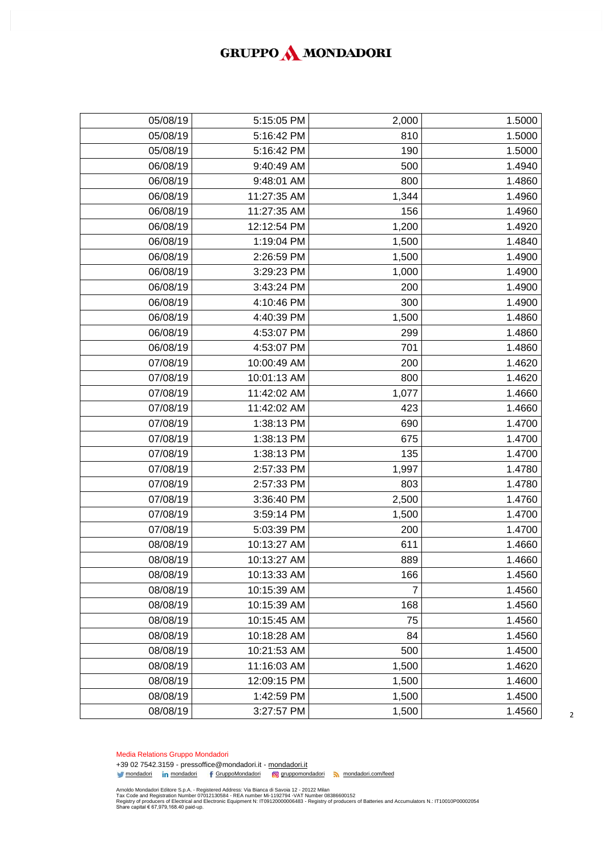## GRUPPO MONDADORI

| 05/08/19 | 5:15:05 PM  | 2,000 | 1.5000 |
|----------|-------------|-------|--------|
| 05/08/19 | 5:16:42 PM  | 810   | 1.5000 |
| 05/08/19 | 5:16:42 PM  | 190   | 1.5000 |
| 06/08/19 | 9:40:49 AM  | 500   | 1.4940 |
| 06/08/19 | 9:48:01 AM  | 800   | 1.4860 |
| 06/08/19 | 11:27:35 AM | 1,344 | 1.4960 |
| 06/08/19 | 11:27:35 AM | 156   | 1.4960 |
| 06/08/19 | 12:12:54 PM | 1,200 | 1.4920 |
| 06/08/19 | 1:19:04 PM  | 1,500 | 1.4840 |
| 06/08/19 | 2:26:59 PM  | 1,500 | 1.4900 |
| 06/08/19 | 3:29:23 PM  | 1,000 | 1.4900 |
| 06/08/19 | 3:43:24 PM  | 200   | 1.4900 |
| 06/08/19 | 4:10:46 PM  | 300   | 1.4900 |
| 06/08/19 | 4:40:39 PM  | 1,500 | 1.4860 |
| 06/08/19 | 4:53:07 PM  | 299   | 1.4860 |
| 06/08/19 | 4:53:07 PM  | 701   | 1.4860 |
| 07/08/19 | 10:00:49 AM | 200   | 1.4620 |
| 07/08/19 | 10:01:13 AM | 800   | 1.4620 |
| 07/08/19 | 11:42:02 AM | 1,077 | 1.4660 |
| 07/08/19 | 11:42:02 AM | 423   | 1.4660 |
| 07/08/19 | 1:38:13 PM  | 690   | 1.4700 |
| 07/08/19 | 1:38:13 PM  | 675   | 1.4700 |
| 07/08/19 | 1:38:13 PM  | 135   | 1.4700 |
| 07/08/19 | 2:57:33 PM  | 1,997 | 1.4780 |
| 07/08/19 | 2:57:33 PM  | 803   | 1.4780 |
| 07/08/19 | 3:36:40 PM  | 2,500 | 1.4760 |
| 07/08/19 | 3:59:14 PM  | 1,500 | 1.4700 |
| 07/08/19 | 5:03:39 PM  | 200   | 1.4700 |
| 08/08/19 | 10:13:27 AM | 611   | 1.4660 |
| 08/08/19 | 10:13:27 AM | 889   | 1.4660 |
| 08/08/19 | 10:13:33 AM | 166   | 1.4560 |
| 08/08/19 | 10:15:39 AM | 7     | 1.4560 |
| 08/08/19 | 10:15:39 AM | 168   | 1.4560 |
| 08/08/19 | 10:15:45 AM | 75    | 1.4560 |
| 08/08/19 | 10:18:28 AM | 84    | 1.4560 |
| 08/08/19 | 10:21:53 AM | 500   | 1.4500 |
| 08/08/19 | 11:16:03 AM | 1,500 | 1.4620 |
| 08/08/19 | 12:09:15 PM | 1,500 | 1.4600 |
| 08/08/19 | 1:42:59 PM  | 1,500 | 1.4500 |
| 08/08/19 | 3:27:57 PM  | 1,500 | 1.4560 |
|          |             |       |        |

Media Relations Gruppo Mondadori

+39 02 7542.3159 - pressoffice@mondadori.it - [mondadori.it](http://www.mondadori.it/) [mondadori](http://www.linkedin.com/company/mondadori) in mondadori f [GruppoMondadori](http://www.facebook.com/GruppoMondadori) in mondadori com/feed

Amoldo Mondadori Editore S.p.A. - Registered Address: Via Bianca di Savoia 12 - 20122 Milan<br>Tax Code and Registration Number 07012130584 - REA number Mi-1192794 -VAT Number 08386600152<br>Registry of producers of Electrical